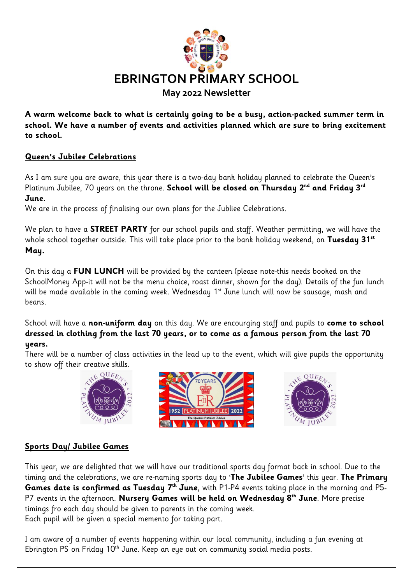

**A warm welcome back to what is certainly going to be a busy, action-packed summer term in school. We have a number of events and activities planned which are sure to bring excitement to school.**

## **Queen's Jubilee Celebrations**

As I am sure you are aware, this year there is a two-day bank holiday planned to celebrate the Queen's Platinum Jubilee, 70 years on the throne. **School will be closed on Thursday 2nd and Friday 3rd June.**

We are in the process of finalising our own plans for the Jubliee Celebrations.

We plan to have a **STREET PARTY** for our school pupils and staff. Weather permitting, we will have the whole school together outside. This will take place prior to the bank holiday weekend, on **Tuesday 31st May.**

On this day a **FUN LUNCH** will be provided by the canteen (please note-this needs booked on the SchoolMoney App-it will not be the menu choice, roast dinner, shown for the day). Details of the fun lunch will be made available in the coming week. Wednesday 1<sup>st</sup> June lunch will now be sausage, mash and beans.

School will have a **non-uniform day** on this day. We are encourging staff and pupils to **come to school dressed in clothing from the last 70 years, or to come as a famous person from the last 70 years.**

There will be a number of class activities in the lead up to the event, which will give pupils the opportunity to show off their creative skills.







# **Sports Day/ Jubilee Games**

This year, we are delighted that we will have our traditional sports day format back in school. Due to the timing and the celebrations, we are re-naming sports day to '**The Jubilee Games**' this year. **The Primary Games date is confirmed as Tuesday 7th June**, with P1-P4 events taking place in the morning and P5- P7 events in the afternoon. **Nursery Games will be held on Wednesday 8th June**. More precise timings fro each day should be given to parents in the coming week. Each pupil will be given a special memento for taking part.

I am aware of a number of events happening within our local community, including a fun evening at Ebrington PS on Friday 10<sup>th</sup> June. Keep an eye out on community social media posts.